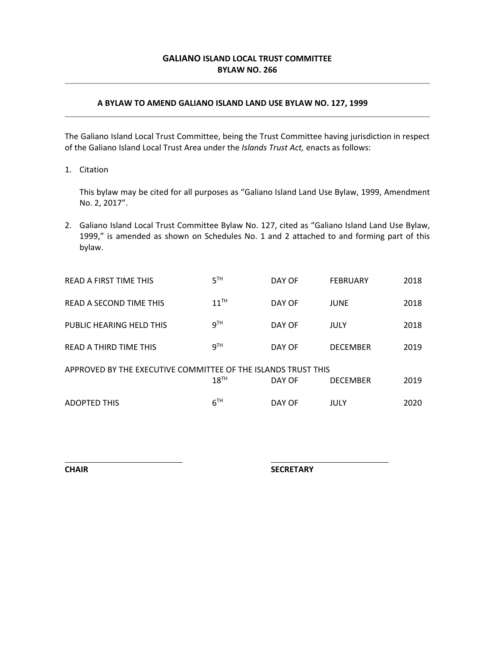### **A BYLAW TO AMEND GALIANO ISLAND LAND USE BYLAW NO. 127, 1999**

The Galiano Island Local Trust Committee, being the Trust Committee having jurisdiction in respect of the Galiano Island Local Trust Area under the *Islands Trust Act,* enacts as follows:

1. Citation

This bylaw may be cited for all purposes as "Galiano Island Land Use Bylaw, 1999, Amendment No. 2, 2017".

2. Galiano Island Local Trust Committee Bylaw No. 127, cited as "Galiano Island Land Use Bylaw, 1999," is amended as shown on Schedules No. 1 and 2 attached to and forming part of this bylaw.

| READ A FIRST TIME THIS                                                                                          | 5 <sup>TH</sup>  | DAY OF | <b>FEBRUARY</b> | 2018 |
|-----------------------------------------------------------------------------------------------------------------|------------------|--------|-----------------|------|
| READ A SECOND TIME THIS                                                                                         | $11^{\text{TH}}$ | DAY OF | JUNE            | 2018 |
| PUBLIC HEARING HELD THIS                                                                                        | 9 <sup>TH</sup>  | DAY OF | JULY            | 2018 |
| READ A THIRD TIME THIS                                                                                          | $9^{TH}$         | DAY OF | <b>DECEMBER</b> | 2019 |
| APPROVED BY THE EXECUTIVE COMMITTEE OF THE ISLANDS TRUST THIS<br>$18^{TH}$<br>2019<br>DAY OF<br><b>DECEMBER</b> |                  |        |                 |      |
| <b>ADOPTED THIS</b>                                                                                             | 6 <sup>TH</sup>  | DAY OF | JULY            | 2020 |

**CHAIR SECRETARY**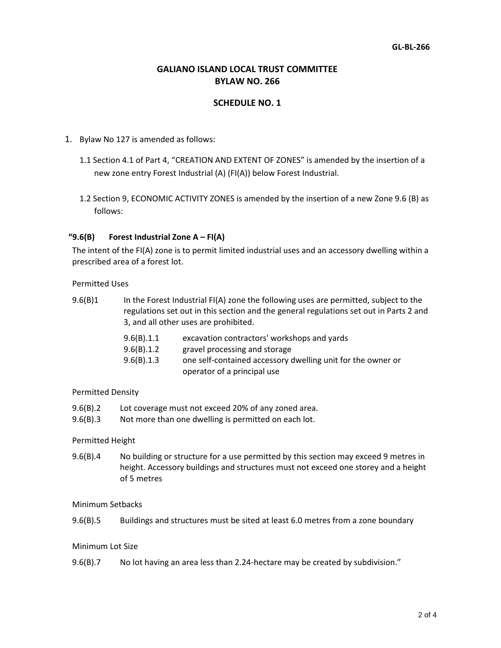# **SCHEDULE NO. 1**

- 1. Bylaw No 127 is amended as follows:
	- 1.1 Section 4.1 of Part 4, "CREATION AND EXTENT OF ZONES" is amended by the insertion of a new zone entry Forest Industrial (A) (FI(A)) below Forest Industrial.
	- 1.2 Section 9, ECONOMIC ACTIVITY ZONES is amended by the insertion of a new Zone 9.6 (B) as follows:

### **"9.6(B) Forest Industrial Zone A – FI(A)**

The intent of the FI(A) zone is to permit limited industrial uses and an accessory dwelling within a prescribed area of a forest lot.

Permitted Uses

9.6(B)1 In the Forest Industrial FI(A) zone the following uses are permitted, subject to the regulations set out in this section and the general regulations set out in Parts 2 and 3, and all other uses are prohibited.

| 9.6(B).1.1 | excavation contractors' workshops and yards                 |
|------------|-------------------------------------------------------------|
| 9.6(B).1.2 | gravel processing and storage                               |
| 9.6(B).1.3 | one self-contained accessory dwelling unit for the owner or |
|            | operator of a principal use                                 |

#### Permitted Density

- 9.6(B).2 Lot coverage must not exceed 20% of any zoned area.
- 9.6(B).3 Not more than one dwelling is permitted on each lot.

#### Permitted Height

9.6(B).4 No building or structure for a use permitted by this section may exceed 9 metres in height. Accessory buildings and structures must not exceed one storey and a height of 5 metres

### Minimum Setbacks

9.6(B).5 Buildings and structures must be sited at least 6.0 metres from a zone boundary

#### Minimum Lot Size

9.6(B).7 No lot having an area less than 2.24-hectare may be created by subdivision."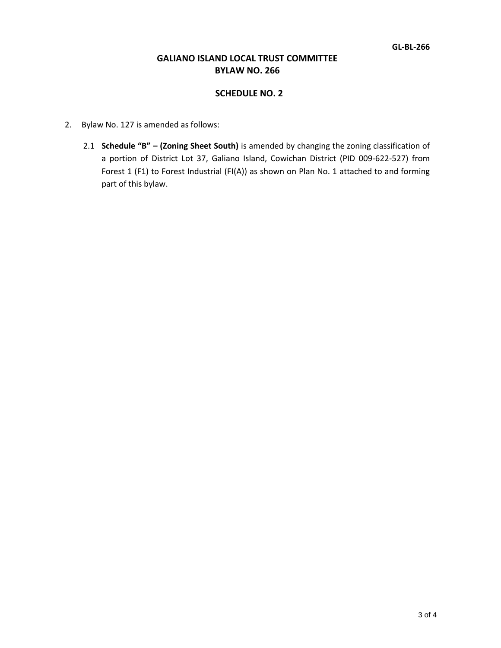### **SCHEDULE NO. 2**

- 2. Bylaw No. 127 is amended as follows:
	- 2.1 **Schedule "B" – (Zoning Sheet South)** is amended by changing the zoning classification of a portion of District Lot 37, Galiano Island, Cowichan District (PID 009-622-527) from Forest 1 (F1) to Forest Industrial (FI(A)) as shown on Plan No. 1 attached to and forming part of this bylaw.